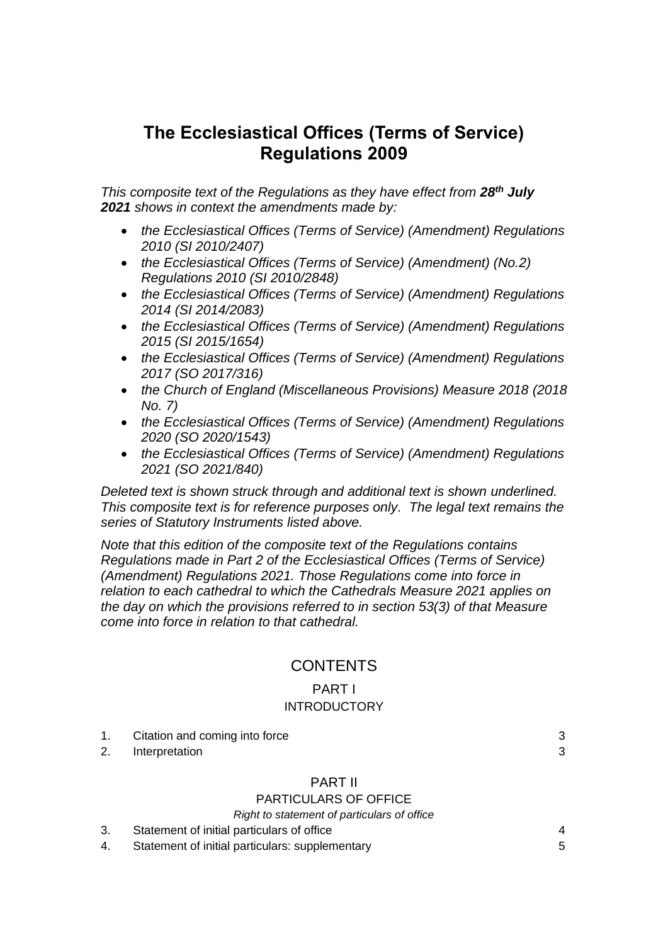# **The Ecclesiastical Offices (Terms of Service) Regulations 2009**

*This composite text of the Regulations as they have effect from 28 th July 2021 shows in context the amendments made by:*

- *the Ecclesiastical Offices (Terms of Service) (Amendment) Regulations 2010 (SI 2010/2407)*
- *the Ecclesiastical Offices (Terms of Service) (Amendment) (No.2) Regulations 2010 (SI 2010/2848)*
- *the Ecclesiastical Offices (Terms of Service) (Amendment) Regulations 2014 (SI 2014/2083)*
- *the Ecclesiastical Offices (Terms of Service) (Amendment) Regulations 2015 (SI 2015/1654)*
- *the Ecclesiastical Offices (Terms of Service) (Amendment) Regulations 2017 (SO 2017/316)*
- *the Church of England (Miscellaneous Provisions) Measure 2018 (2018 No. 7)*
- *the Ecclesiastical Offices (Terms of Service) (Amendment) Regulations 2020 (SO 2020/1543)*
- *the Ecclesiastical Offices (Terms of Service) (Amendment) Regulations 2021 (SO 2021/840)*

*Deleted text is shown struck through and additional text is shown underlined. This composite text is for reference purposes only. The legal text remains the series of Statutory Instruments listed above.*

*Note that this edition of the composite text of the Regulations contains Regulations made in Part 2 of the Ecclesiastical Offices (Terms of Service) (Amendment) Regulations 2021. Those Regulations come into force in relation to each cathedral to which the Cathedrals Measure 2021 applies on the day on which the provisions referred to in section 53(3) of that Measure come into force in relation to that cathedral.* 

# **CONTENTS**

## PART I **INTRODUCTORY**

1. Citation and coming into force [3](#page-2-0) 2. Interpretation [3](#page-2-1) PART II PARTICULARS OF OFFICE *Right to statement of particulars of office* 3. Statement of initial particulars of office [4](#page-3-0) 4. Statement of initial particulars: supplementary [5](#page-4-0)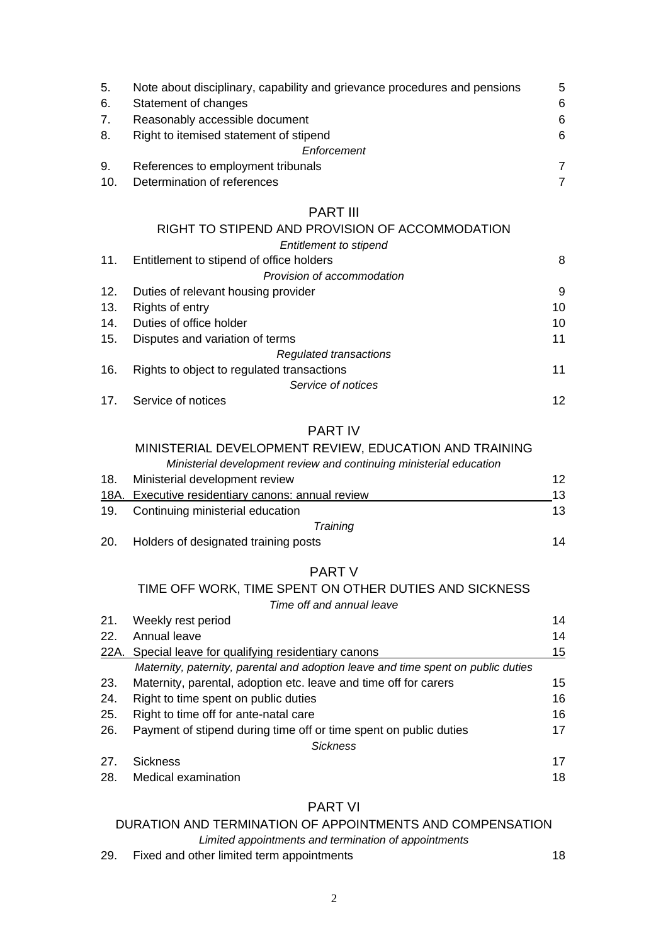| 5.  | Note about disciplinary, capability and grievance procedures and pensions | .5 |
|-----|---------------------------------------------------------------------------|----|
| 6.  | Statement of changes                                                      | 6  |
| 7.  | Reasonably accessible document                                            | 6  |
| 8.  | Right to itemised statement of stipend                                    | 6  |
|     | Enforcement                                                               |    |
| 9.  | References to employment tribunals                                        | 7  |
| 10. | Determination of references                                               | 7  |

## PART III

|     | RIGHT TO STIPEND AND PROVISION OF ACCOMMODATION |    |
|-----|-------------------------------------------------|----|
|     | Entitlement to stipend                          |    |
| 11. | Entitlement to stipend of office holders        | 8  |
|     | Provision of accommodation                      |    |
| 12. | Duties of relevant housing provider             | 9  |
| 13. | Rights of entry                                 | 10 |
| 14. | Duties of office holder                         | 10 |
| 15. | Disputes and variation of terms                 | 11 |
|     | Regulated transactions                          |    |
| 16. | Rights to object to regulated transactions      | 11 |
|     | Service of notices                              |    |
| 17. | Service of notices                              | 12 |

## PART IV

## MINISTERIAL DEVELOPMENT REVIEW, EDUCATION AND TRAINING

| Ministerial development review and continuing ministerial education |  |
|---------------------------------------------------------------------|--|
|---------------------------------------------------------------------|--|

| 18.  | Ministerial development review                    | 12 |
|------|---------------------------------------------------|----|
|      | 18A. Executive residentiary canons: annual review | 13 |
| 19.  | Continuing ministerial education                  | 13 |
|      | Training                                          |    |
| -20. | Holders of designated training posts              | 14 |

## PART V

## TIME OFF WORK, TIME SPENT ON OTHER DUTIES AND SICKNESS *Time off and annual leave*

| 21. | Weekly rest period                                                                | 14 |
|-----|-----------------------------------------------------------------------------------|----|
| 22. | Annual leave                                                                      | 14 |
|     | 22A. Special leave for qualifying residentiary canons                             | 15 |
|     | Maternity, paternity, parental and adoption leave and time spent on public duties |    |
| 23. | Maternity, parental, adoption etc. leave and time off for carers                  | 15 |
| 24. | Right to time spent on public duties                                              | 16 |
| 25. | Right to time off for ante-natal care                                             | 16 |
| 26. | Payment of stipend during time off or time spent on public duties                 | 17 |
|     | <b>Sickness</b>                                                                   |    |
| 27. | <b>Sickness</b>                                                                   | 17 |
| 28. | Medical examination                                                               | 18 |
|     |                                                                                   |    |

## PART VI

## DURATION AND TERMINATION OF APPOINTMENTS AND COMPENSATION

*Limited appointments and termination of appointments*

29. Fixed and other limited term appointments [18](#page-17-1)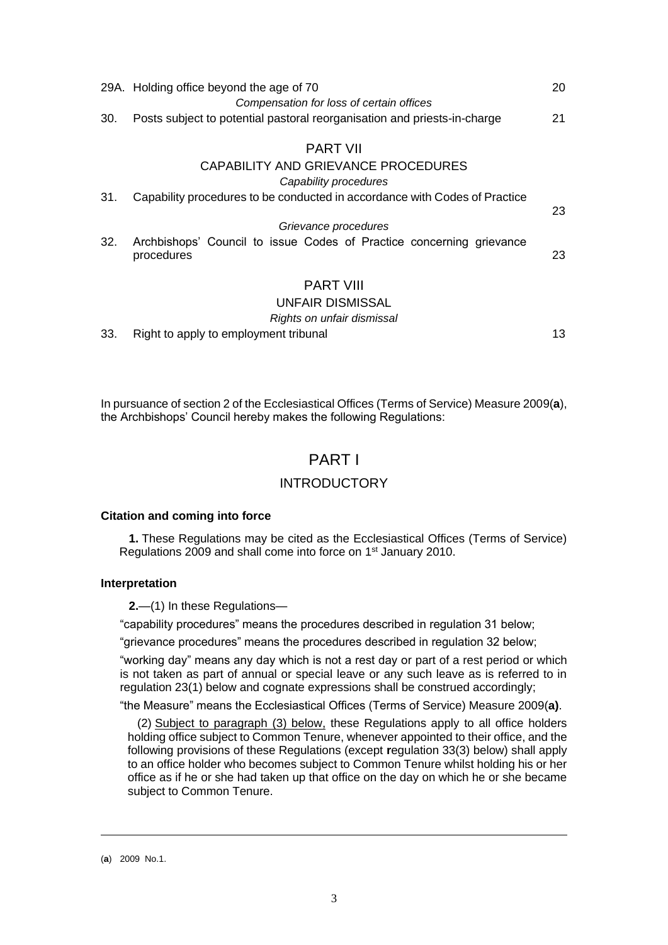|     | 29A. Holding office beyond the age of 70                                           | 20 |
|-----|------------------------------------------------------------------------------------|----|
|     | Compensation for loss of certain offices                                           |    |
| 30. | Posts subject to potential pastoral reorganisation and priests-in-charge           | 21 |
|     | <b>PART VII</b>                                                                    |    |
|     | CAPABILITY AND GRIEVANCE PROCEDURES                                                |    |
|     | Capability procedures                                                              |    |
| 31. | Capability procedures to be conducted in accordance with Codes of Practice         | 23 |
|     | Grievance procedures                                                               |    |
| 32. | Archbishops' Council to issue Codes of Practice concerning grievance<br>procedures | 23 |
|     | <b>PART VIII</b>                                                                   |    |
|     | <b>UNFAIR DISMISSAL</b>                                                            |    |
|     | Rights on unfair dismissal                                                         |    |

33. Right to apply to employment tribunal [13](#page-12-0)

In pursuance of section 2 of the Ecclesiastical Offices (Terms of Service) Measure 2009(**a**), the Archbishops' Council hereby makes the following Regulations:

## PART I

## INTRODUCTORY

## <span id="page-2-0"></span>**Citation and coming into force**

**1.** These Regulations may be cited as the Ecclesiastical Offices (Terms of Service) Regulations 2009 and shall come into force on 1<sup>st</sup> January 2010.

## <span id="page-2-1"></span>**Interpretation**

**2.**—(1) In these Regulations—

"capability procedures" means the procedures described in regulation 31 below;

"grievance procedures" means the procedures described in regulation 32 below;

"working day" means any day which is not a rest day or part of a rest period or which is not taken as part of annual or special leave or any such leave as is referred to in regulation 23(1) below and cognate expressions shall be construed accordingly;

"the Measure" means the Ecclesiastical Offices (Terms of Service) Measure 2009(**a)**.

(2) Subject to paragraph (3) below, these Regulations apply to all office holders holding office subject to Common Tenure, whenever appointed to their office, and the following provisions of these Regulations (except **r**egulation 33(3) below) shall apply to an office holder who becomes subject to Common Tenure whilst holding his or her office as if he or she had taken up that office on the day on which he or she became subject to Common Tenure.

<sup>(</sup>**a**) 2009 No.1.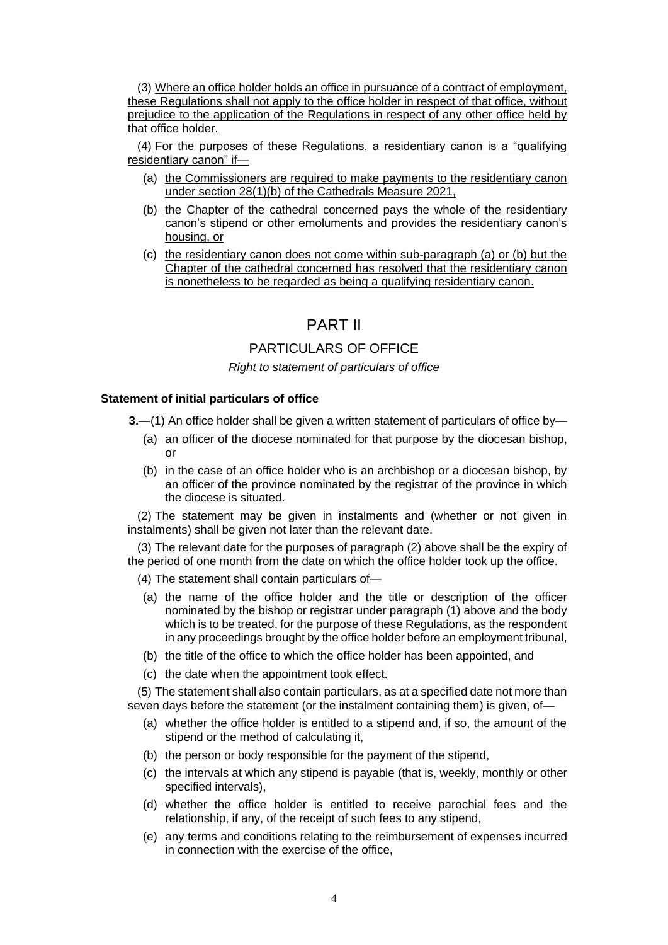(3) Where an office holder holds an office in pursuance of a contract of employment, these Regulations shall not apply to the office holder in respect of that office, without prejudice to the application of the Regulations in respect of any other office held by that office holder.

(4) For the purposes of these Regulations, a residentiary canon is a "qualifying residentiary canon" if—

- (a) the Commissioners are required to make payments to the residentiary canon under section 28(1)(b) of the Cathedrals Measure 2021,
- (b) the Chapter of the cathedral concerned pays the whole of the residentiary canon's stipend or other emoluments and provides the residentiary canon's housing, or
- (c) the residentiary canon does not come within sub-paragraph (a) or (b) but the Chapter of the cathedral concerned has resolved that the residentiary canon is nonetheless to be regarded as being a qualifying residentiary canon.

## PART II

## PARTICULARS OF OFFICE

## *Right to statement of particulars of office*

## <span id="page-3-0"></span>**Statement of initial particulars of office**

**3.**—(1) An office holder shall be given a written statement of particulars of office by—

- (a) an officer of the diocese nominated for that purpose by the diocesan bishop, or
- (b) in the case of an office holder who is an archbishop or a diocesan bishop, by an officer of the province nominated by the registrar of the province in which the diocese is situated.

(2) The statement may be given in instalments and (whether or not given in instalments) shall be given not later than the relevant date.

(3) The relevant date for the purposes of paragraph (2) above shall be the expiry of the period of one month from the date on which the office holder took up the office.

(4) The statement shall contain particulars of—

- (a) the name of the office holder and the title or description of the officer nominated by the bishop or registrar under paragraph (1) above and the body which is to be treated, for the purpose of these Regulations, as the respondent in any proceedings brought by the office holder before an employment tribunal,
- (b) the title of the office to which the office holder has been appointed, and
- (c) the date when the appointment took effect.

(5) The statement shall also contain particulars, as at a specified date not more than seven days before the statement (or the instalment containing them) is given, of—

- (a) whether the office holder is entitled to a stipend and, if so, the amount of the stipend or the method of calculating it,
- (b) the person or body responsible for the payment of the stipend,
- (c) the intervals at which any stipend is payable (that is, weekly, monthly or other specified intervals),
- (d) whether the office holder is entitled to receive parochial fees and the relationship, if any, of the receipt of such fees to any stipend,
- (e) any terms and conditions relating to the reimbursement of expenses incurred in connection with the exercise of the office,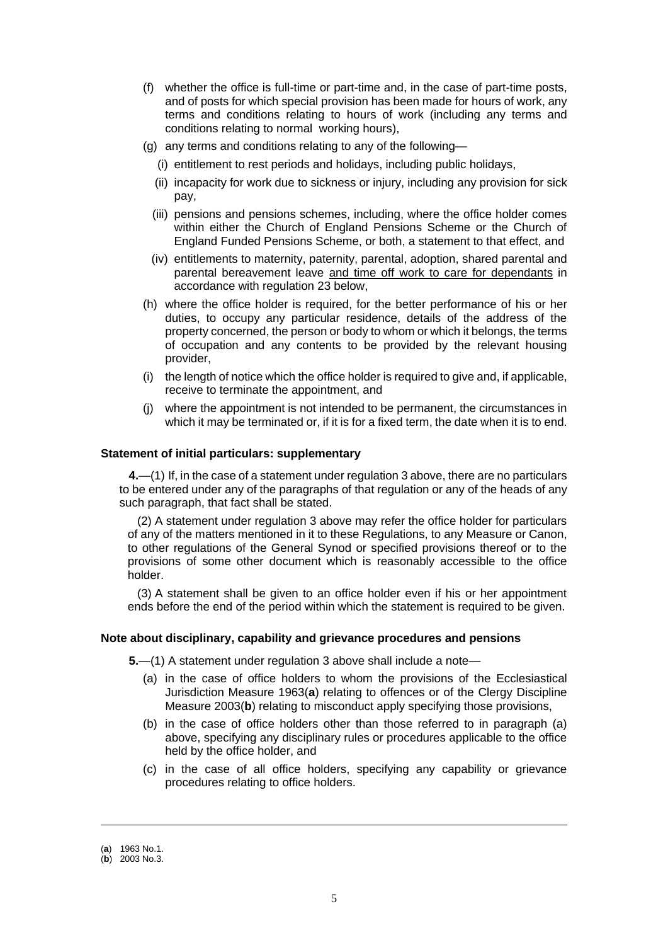- (f) whether the office is full-time or part-time and, in the case of part-time posts, and of posts for which special provision has been made for hours of work, any terms and conditions relating to hours of work (including any terms and conditions relating to normal working hours),
- (g) any terms and conditions relating to any of the following—
	- (i) entitlement to rest periods and holidays, including public holidays,
	- (ii) incapacity for work due to sickness or injury, including any provision for sick pay,
	- (iii) pensions and pensions schemes, including, where the office holder comes within either the Church of England Pensions Scheme or the Church of England Funded Pensions Scheme, or both, a statement to that effect, and
	- (iv) entitlements to maternity, paternity, parental, adoption, shared parental and parental bereavement leave and time off work to care for dependants in accordance with regulation 23 below,
- (h) where the office holder is required, for the better performance of his or her duties, to occupy any particular residence, details of the address of the property concerned, the person or body to whom or which it belongs, the terms of occupation and any contents to be provided by the relevant housing provider,
- (i) the length of notice which the office holder is required to give and, if applicable, receive to terminate the appointment, and
- (j) where the appointment is not intended to be permanent, the circumstances in which it may be terminated or, if it is for a fixed term, the date when it is to end.

#### <span id="page-4-0"></span>**Statement of initial particulars: supplementary**

**4.**—(1) If, in the case of a statement under regulation 3 above, there are no particulars to be entered under any of the paragraphs of that regulation or any of the heads of any such paragraph, that fact shall be stated.

(2) A statement under regulation 3 above may refer the office holder for particulars of any of the matters mentioned in it to these Regulations, to any Measure or Canon, to other regulations of the General Synod or specified provisions thereof or to the provisions of some other document which is reasonably accessible to the office holder.

(3) A statement shall be given to an office holder even if his or her appointment ends before the end of the period within which the statement is required to be given.

#### <span id="page-4-1"></span>**Note about disciplinary, capability and grievance procedures and pensions**

**5.**—(1) A statement under regulation 3 above shall include a note—

- (a) in the case of office holders to whom the provisions of the Ecclesiastical Jurisdiction Measure 1963(**a**) relating to offences or of the Clergy Discipline Measure 2003(**b**) relating to misconduct apply specifying those provisions,
- (b) in the case of office holders other than those referred to in paragraph (a) above, specifying any disciplinary rules or procedures applicable to the office held by the office holder, and
- (c) in the case of all office holders, specifying any capability or grievance procedures relating to office holders.

<sup>(</sup>**a**) 1963 No.1.

<sup>(</sup>**b**) 2003 No.3.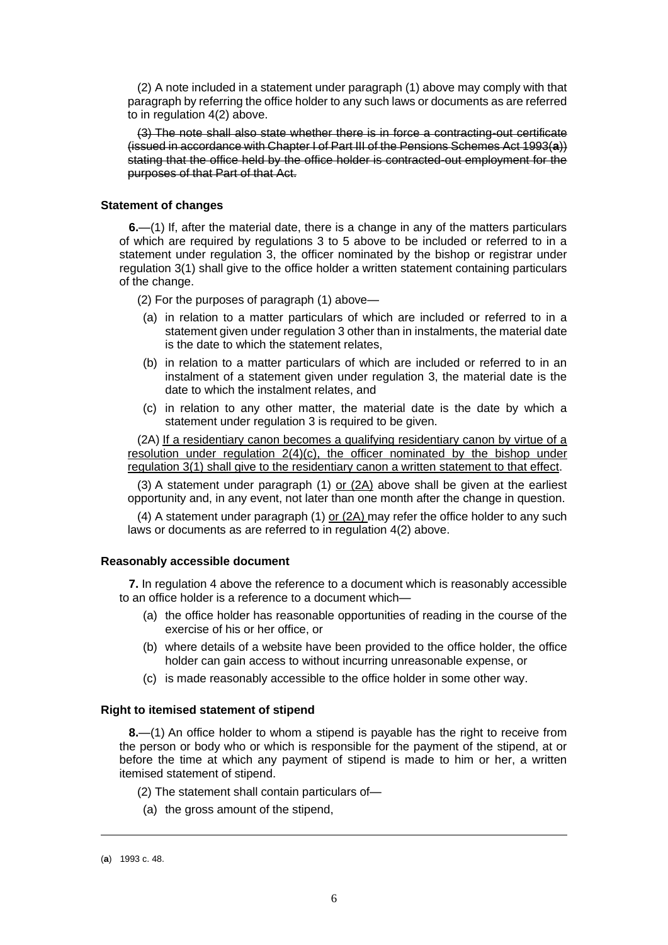(2) A note included in a statement under paragraph (1) above may comply with that paragraph by referring the office holder to any such laws or documents as are referred to in regulation 4(2) above.

(3) The note shall also state whether there is in force a contracting-out certificate (issued in accordance with Chapter I of Part III of the Pensions Schemes Act 1993(**a**)) stating that the office held by the office holder is contracted-out employment for the purposes of that Part of that Act.

#### <span id="page-5-0"></span>**Statement of changes**

**6.**—(1) If, after the material date, there is a change in any of the matters particulars of which are required by regulations 3 to 5 above to be included or referred to in a statement under regulation 3, the officer nominated by the bishop or registrar under regulation 3(1) shall give to the office holder a written statement containing particulars of the change.

- (2) For the purposes of paragraph (1) above—
- (a) in relation to a matter particulars of which are included or referred to in a statement given under regulation 3 other than in instalments, the material date is the date to which the statement relates,
- (b) in relation to a matter particulars of which are included or referred to in an instalment of a statement given under regulation 3, the material date is the date to which the instalment relates, and
- (c) in relation to any other matter, the material date is the date by which a statement under regulation 3 is required to be given.

(2A) If a residentiary canon becomes a qualifying residentiary canon by virtue of a resolution under regulation 2(4)(c), the officer nominated by the bishop under regulation 3(1) shall give to the residentiary canon a written statement to that effect.

(3) A statement under paragraph (1) or (2A) above shall be given at the earliest opportunity and, in any event, not later than one month after the change in question.

(4) A statement under paragraph (1) or (2A) may refer the office holder to any such laws or documents as are referred to in regulation 4(2) above.

## <span id="page-5-1"></span>**Reasonably accessible document**

**7.** In regulation 4 above the reference to a document which is reasonably accessible to an office holder is a reference to a document which—

- (a) the office holder has reasonable opportunities of reading in the course of the exercise of his or her office, or
- (b) where details of a website have been provided to the office holder, the office holder can gain access to without incurring unreasonable expense, or
- (c) is made reasonably accessible to the office holder in some other way.

#### <span id="page-5-2"></span>**Right to itemised statement of stipend**

**8.**—(1) An office holder to whom a stipend is payable has the right to receive from the person or body who or which is responsible for the payment of the stipend, at or before the time at which any payment of stipend is made to him or her, a written itemised statement of stipend.

(2) The statement shall contain particulars of—

(a) the gross amount of the stipend,

<sup>(</sup>**a**) 1993 c. 48.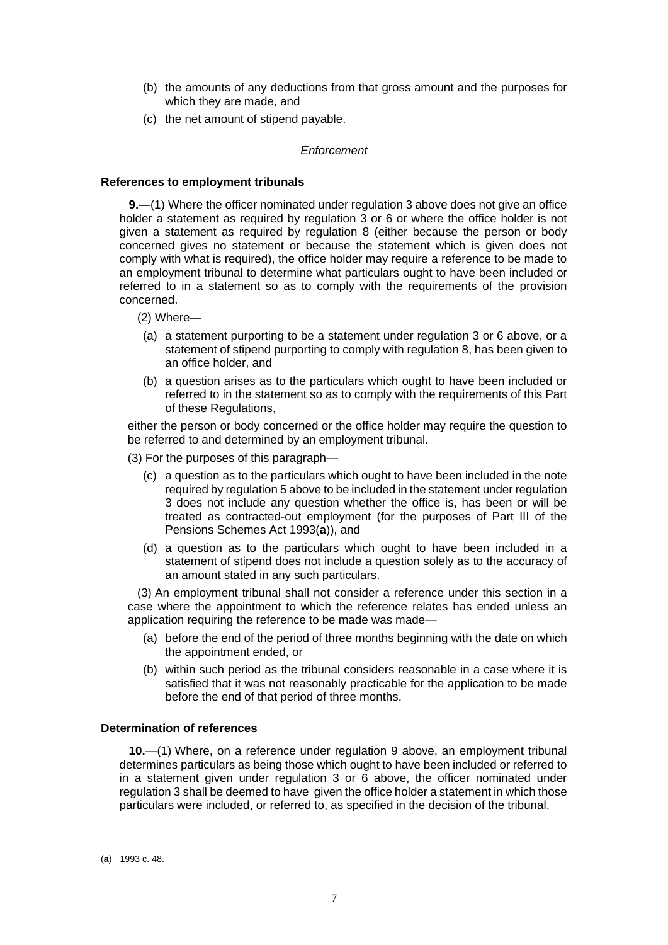- (b) the amounts of any deductions from that gross amount and the purposes for which they are made, and
- (c) the net amount of stipend payable.

#### *Enforcement*

#### <span id="page-6-0"></span>**References to employment tribunals**

**9.**—(1) Where the officer nominated under regulation 3 above does not give an office holder a statement as required by regulation 3 or 6 or where the office holder is not given a statement as required by regulation 8 (either because the person or body concerned gives no statement or because the statement which is given does not comply with what is required), the office holder may require a reference to be made to an employment tribunal to determine what particulars ought to have been included or referred to in a statement so as to comply with the requirements of the provision concerned.

(2) Where—

- (a) a statement purporting to be a statement under regulation 3 or 6 above, or a statement of stipend purporting to comply with regulation 8, has been given to an office holder, and
- (b) a question arises as to the particulars which ought to have been included or referred to in the statement so as to comply with the requirements of this Part of these Regulations,

either the person or body concerned or the office holder may require the question to be referred to and determined by an employment tribunal.

- (3) For the purposes of this paragraph—
	- (c) a question as to the particulars which ought to have been included in the note required by regulation 5 above to be included in the statement under regulation 3 does not include any question whether the office is, has been or will be treated as contracted-out employment (for the purposes of Part III of the Pensions Schemes Act 1993(**a**)), and
	- (d) a question as to the particulars which ought to have been included in a statement of stipend does not include a question solely as to the accuracy of an amount stated in any such particulars.

(3) An employment tribunal shall not consider a reference under this section in a case where the appointment to which the reference relates has ended unless an application requiring the reference to be made was made—

- (a) before the end of the period of three months beginning with the date on which the appointment ended, or
- (b) within such period as the tribunal considers reasonable in a case where it is satisfied that it was not reasonably practicable for the application to be made before the end of that period of three months.

#### <span id="page-6-1"></span>**Determination of references**

**10.**—(1) Where, on a reference under regulation 9 above, an employment tribunal determines particulars as being those which ought to have been included or referred to in a statement given under regulation 3 or 6 above, the officer nominated under regulation 3 shall be deemed to have given the office holder a statement in which those particulars were included, or referred to, as specified in the decision of the tribunal.

<sup>(</sup>**a**) 1993 c. 48.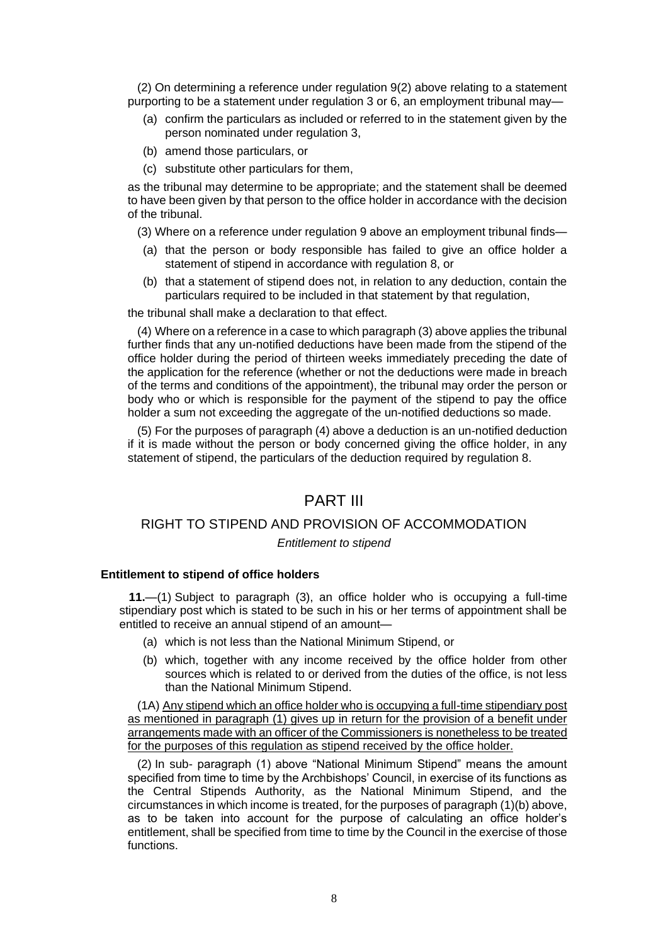(2) On determining a reference under regulation 9(2) above relating to a statement purporting to be a statement under regulation 3 or 6, an employment tribunal may-

- (a) confirm the particulars as included or referred to in the statement given by the person nominated under regulation 3,
- (b) amend those particulars, or
- (c) substitute other particulars for them,

as the tribunal may determine to be appropriate; and the statement shall be deemed to have been given by that person to the office holder in accordance with the decision of the tribunal.

(3) Where on a reference under regulation 9 above an employment tribunal finds—

- (a) that the person or body responsible has failed to give an office holder a statement of stipend in accordance with regulation 8, or
- (b) that a statement of stipend does not, in relation to any deduction, contain the particulars required to be included in that statement by that regulation,

the tribunal shall make a declaration to that effect.

(4) Where on a reference in a case to which paragraph (3) above applies the tribunal further finds that any un-notified deductions have been made from the stipend of the office holder during the period of thirteen weeks immediately preceding the date of the application for the reference (whether or not the deductions were made in breach of the terms and conditions of the appointment), the tribunal may order the person or body who or which is responsible for the payment of the stipend to pay the office holder a sum not exceeding the aggregate of the un-notified deductions so made.

(5) For the purposes of paragraph (4) above a deduction is an un-notified deduction if it is made without the person or body concerned giving the office holder, in any statement of stipend, the particulars of the deduction required by regulation 8.

## PART III

## RIGHT TO STIPEND AND PROVISION OF ACCOMMODATION

#### *Entitlement to stipend*

## <span id="page-7-0"></span>**Entitlement to stipend of office holders**

**11.**—(1) Subject to paragraph (3), an office holder who is occupying a full-time stipendiary post which is stated to be such in his or her terms of appointment shall be entitled to receive an annual stipend of an amount—

- (a) which is not less than the National Minimum Stipend, or
- (b) which, together with any income received by the office holder from other sources which is related to or derived from the duties of the office, is not less than the National Minimum Stipend.

(1A) Any stipend which an office holder who is occupying a full-time stipendiary post as mentioned in paragraph (1) gives up in return for the provision of a benefit under arrangements made with an officer of the Commissioners is nonetheless to be treated for the purposes of this regulation as stipend received by the office holder.

(2) In sub- paragraph (1) above "National Minimum Stipend" means the amount specified from time to time by the Archbishops' Council, in exercise of its functions as the Central Stipends Authority, as the National Minimum Stipend, and the circumstances in which income is treated, for the purposes of paragraph (1)(b) above, as to be taken into account for the purpose of calculating an office holder's entitlement, shall be specified from time to time by the Council in the exercise of those functions.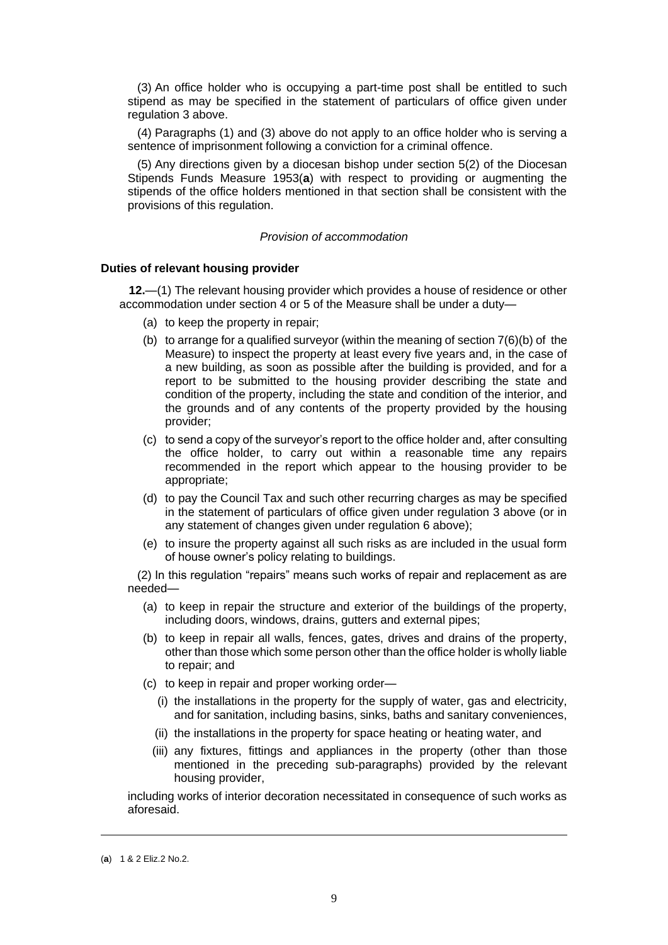(3) An office holder who is occupying a part-time post shall be entitled to such stipend as may be specified in the statement of particulars of office given under regulation 3 above.

(4) Paragraphs (1) and (3) above do not apply to an office holder who is serving a sentence of imprisonment following a conviction for a criminal offence.

(5) Any directions given by a diocesan bishop under section 5(2) of the Diocesan Stipends Funds Measure 1953(**a**) with respect to providing or augmenting the stipends of the office holders mentioned in that section shall be consistent with the provisions of this regulation.

#### *Provision of accommodation*

#### <span id="page-8-0"></span>**Duties of relevant housing provider**

**12.**—(1) The relevant housing provider which provides a house of residence or other accommodation under section 4 or 5 of the Measure shall be under a duty—

- (a) to keep the property in repair;
- (b) to arrange for a qualified surveyor (within the meaning of section  $7(6)(b)$  of the Measure) to inspect the property at least every five years and, in the case of a new building, as soon as possible after the building is provided, and for a report to be submitted to the housing provider describing the state and condition of the property, including the state and condition of the interior, and the grounds and of any contents of the property provided by the housing provider;
- (c) to send a copy of the surveyor's report to the office holder and, after consulting the office holder, to carry out within a reasonable time any repairs recommended in the report which appear to the housing provider to be appropriate;
- (d) to pay the Council Tax and such other recurring charges as may be specified in the statement of particulars of office given under regulation 3 above (or in any statement of changes given under regulation 6 above);
- (e) to insure the property against all such risks as are included in the usual form of house owner's policy relating to buildings.

(2) In this regulation "repairs" means such works of repair and replacement as are needed—

- (a) to keep in repair the structure and exterior of the buildings of the property, including doors, windows, drains, gutters and external pipes;
- (b) to keep in repair all walls, fences, gates, drives and drains of the property, other than those which some person other than the office holder is wholly liable to repair; and
- (c) to keep in repair and proper working order—
	- (i) the installations in the property for the supply of water, gas and electricity, and for sanitation, including basins, sinks, baths and sanitary conveniences,
	- (ii) the installations in the property for space heating or heating water, and
	- (iii) any fixtures, fittings and appliances in the property (other than those mentioned in the preceding sub-paragraphs) provided by the relevant housing provider,

including works of interior decoration necessitated in consequence of such works as aforesaid.

<sup>(</sup>**a**) 1 & 2 Eliz.2 No.2.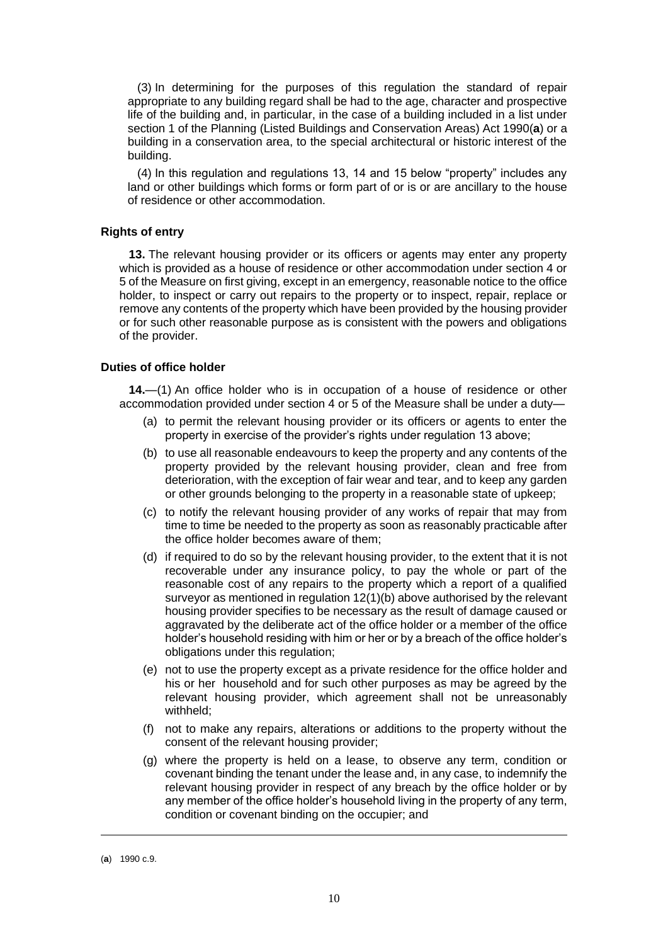(3) In determining for the purposes of this regulation the standard of repair appropriate to any building regard shall be had to the age, character and prospective life of the building and, in particular, in the case of a building included in a list under section 1 of the Planning (Listed Buildings and Conservation Areas) Act 1990(**a**) or a building in a conservation area, to the special architectural or historic interest of the building.

(4) In this regulation and regulations 13, 14 and 15 below "property" includes any land or other buildings which forms or form part of or is or are ancillary to the house of residence or other accommodation.

#### <span id="page-9-0"></span>**Rights of entry**

**13.** The relevant housing provider or its officers or agents may enter any property which is provided as a house of residence or other accommodation under section 4 or 5 of the Measure on first giving, except in an emergency, reasonable notice to the office holder, to inspect or carry out repairs to the property or to inspect, repair, replace or remove any contents of the property which have been provided by the housing provider or for such other reasonable purpose as is consistent with the powers and obligations of the provider.

#### <span id="page-9-1"></span>**Duties of office holder**

**14.**—(1) An office holder who is in occupation of a house of residence or other accommodation provided under section 4 or 5 of the Measure shall be under a duty—

- (a) to permit the relevant housing provider or its officers or agents to enter the property in exercise of the provider's rights under regulation 13 above;
- (b) to use all reasonable endeavours to keep the property and any contents of the property provided by the relevant housing provider, clean and free from deterioration, with the exception of fair wear and tear, and to keep any garden or other grounds belonging to the property in a reasonable state of upkeep;
- (c) to notify the relevant housing provider of any works of repair that may from time to time be needed to the property as soon as reasonably practicable after the office holder becomes aware of them;
- (d) if required to do so by the relevant housing provider, to the extent that it is not recoverable under any insurance policy, to pay the whole or part of the reasonable cost of any repairs to the property which a report of a qualified surveyor as mentioned in regulation 12(1)(b) above authorised by the relevant housing provider specifies to be necessary as the result of damage caused or aggravated by the deliberate act of the office holder or a member of the office holder's household residing with him or her or by a breach of the office holder's obligations under this regulation;
- (e) not to use the property except as a private residence for the office holder and his or her household and for such other purposes as may be agreed by the relevant housing provider, which agreement shall not be unreasonably withheld;
- (f) not to make any repairs, alterations or additions to the property without the consent of the relevant housing provider;
- (g) where the property is held on a lease, to observe any term, condition or covenant binding the tenant under the lease and, in any case, to indemnify the relevant housing provider in respect of any breach by the office holder or by any member of the office holder's household living in the property of any term, condition or covenant binding on the occupier; and

<sup>(</sup>**a**) 1990 c.9.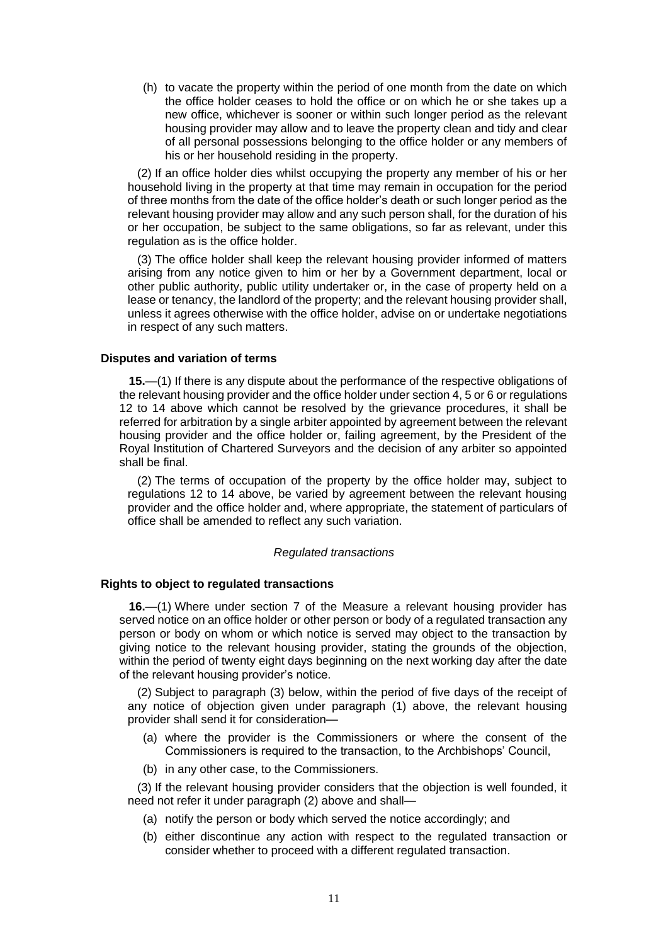(h) to vacate the property within the period of one month from the date on which the office holder ceases to hold the office or on which he or she takes up a new office, whichever is sooner or within such longer period as the relevant housing provider may allow and to leave the property clean and tidy and clear of all personal possessions belonging to the office holder or any members of his or her household residing in the property.

(2) If an office holder dies whilst occupying the property any member of his or her household living in the property at that time may remain in occupation for the period of three months from the date of the office holder's death or such longer period as the relevant housing provider may allow and any such person shall, for the duration of his or her occupation, be subject to the same obligations, so far as relevant, under this regulation as is the office holder.

(3) The office holder shall keep the relevant housing provider informed of matters arising from any notice given to him or her by a Government department, local or other public authority, public utility undertaker or, in the case of property held on a lease or tenancy, the landlord of the property; and the relevant housing provider shall, unless it agrees otherwise with the office holder, advise on or undertake negotiations in respect of any such matters.

#### <span id="page-10-0"></span>**Disputes and variation of terms**

**15.**—(1) If there is any dispute about the performance of the respective obligations of the relevant housing provider and the office holder under section 4, 5 or 6 or regulations 12 to 14 above which cannot be resolved by the grievance procedures, it shall be referred for arbitration by a single arbiter appointed by agreement between the relevant housing provider and the office holder or, failing agreement, by the President of the Royal Institution of Chartered Surveyors and the decision of any arbiter so appointed shall be final.

(2) The terms of occupation of the property by the office holder may, subject to regulations 12 to 14 above, be varied by agreement between the relevant housing provider and the office holder and, where appropriate, the statement of particulars of office shall be amended to reflect any such variation.

#### *Regulated transactions*

#### <span id="page-10-1"></span>**Rights to object to regulated transactions**

**16.**—(1) Where under section 7 of the Measure a relevant housing provider has served notice on an office holder or other person or body of a regulated transaction any person or body on whom or which notice is served may object to the transaction by giving notice to the relevant housing provider, stating the grounds of the objection, within the period of twenty eight days beginning on the next working day after the date of the relevant housing provider's notice.

(2) Subject to paragraph (3) below, within the period of five days of the receipt of any notice of objection given under paragraph (1) above, the relevant housing provider shall send it for consideration—

- (a) where the provider is the Commissioners or where the consent of the Commissioners is required to the transaction, to the Archbishops' Council,
- (b) in any other case, to the Commissioners.

(3) If the relevant housing provider considers that the objection is well founded, it need not refer it under paragraph (2) above and shall—

- (a) notify the person or body which served the notice accordingly; and
- (b) either discontinue any action with respect to the regulated transaction or consider whether to proceed with a different regulated transaction.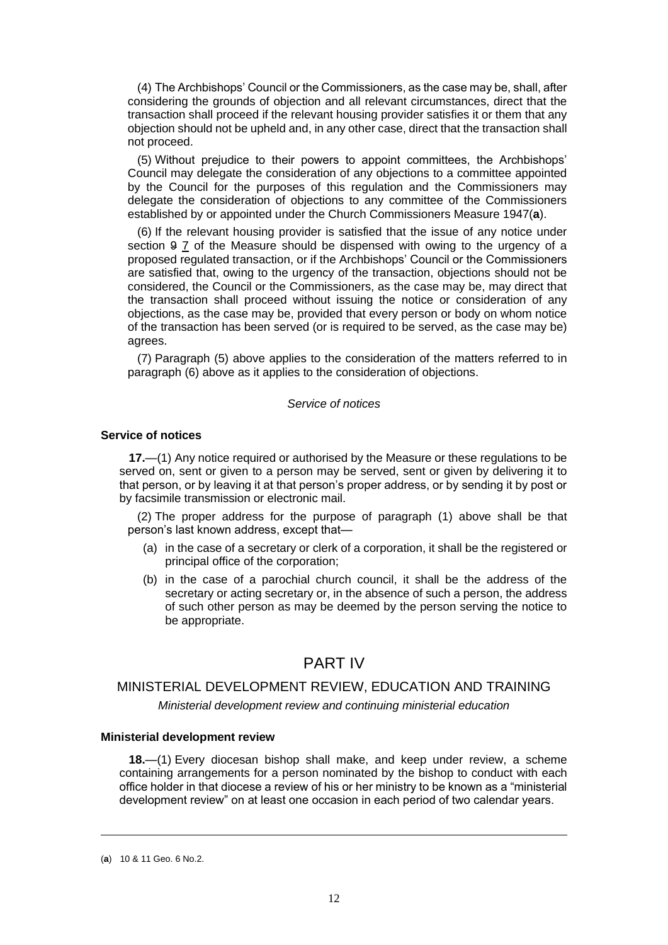(4) The Archbishops' Council or the Commissioners, as the case may be, shall, after considering the grounds of objection and all relevant circumstances, direct that the transaction shall proceed if the relevant housing provider satisfies it or them that any objection should not be upheld and, in any other case, direct that the transaction shall not proceed.

(5) Without prejudice to their powers to appoint committees, the Archbishops' Council may delegate the consideration of any objections to a committee appointed by the Council for the purposes of this regulation and the Commissioners may delegate the consideration of objections to any committee of the Commissioners established by or appointed under the Church Commissioners Measure 1947(**a**).

(6) If the relevant housing provider is satisfied that the issue of any notice under section 9 7 of the Measure should be dispensed with owing to the urgency of a proposed regulated transaction, or if the Archbishops' Council or the Commissioners are satisfied that, owing to the urgency of the transaction, objections should not be considered, the Council or the Commissioners, as the case may be, may direct that the transaction shall proceed without issuing the notice or consideration of any objections, as the case may be, provided that every person or body on whom notice of the transaction has been served (or is required to be served, as the case may be) agrees.

(7) Paragraph (5) above applies to the consideration of the matters referred to in paragraph (6) above as it applies to the consideration of objections.

#### *Service of notices*

#### <span id="page-11-0"></span>**Service of notices**

**17.**—(1) Any notice required or authorised by the Measure or these regulations to be served on, sent or given to a person may be served, sent or given by delivering it to that person, or by leaving it at that person's proper address, or by sending it by post or by facsimile transmission or electronic mail.

(2) The proper address for the purpose of paragraph (1) above shall be that person's last known address, except that—

- (a) in the case of a secretary or clerk of a corporation, it shall be the registered or principal office of the corporation;
- (b) in the case of a parochial church council, it shall be the address of the secretary or acting secretary or, in the absence of such a person, the address of such other person as may be deemed by the person serving the notice to be appropriate.

## PART IV

#### MINISTERIAL DEVELOPMENT REVIEW, EDUCATION AND TRAINING

*Ministerial development review and continuing ministerial education*

#### <span id="page-11-1"></span>**Ministerial development review**

**18.**—(1) Every diocesan bishop shall make, and keep under review, a scheme containing arrangements for a person nominated by the bishop to conduct with each office holder in that diocese a review of his or her ministry to be known as a "ministerial development review" on at least one occasion in each period of two calendar years.

<sup>(</sup>**a**) 10 & 11 Geo. 6 No.2.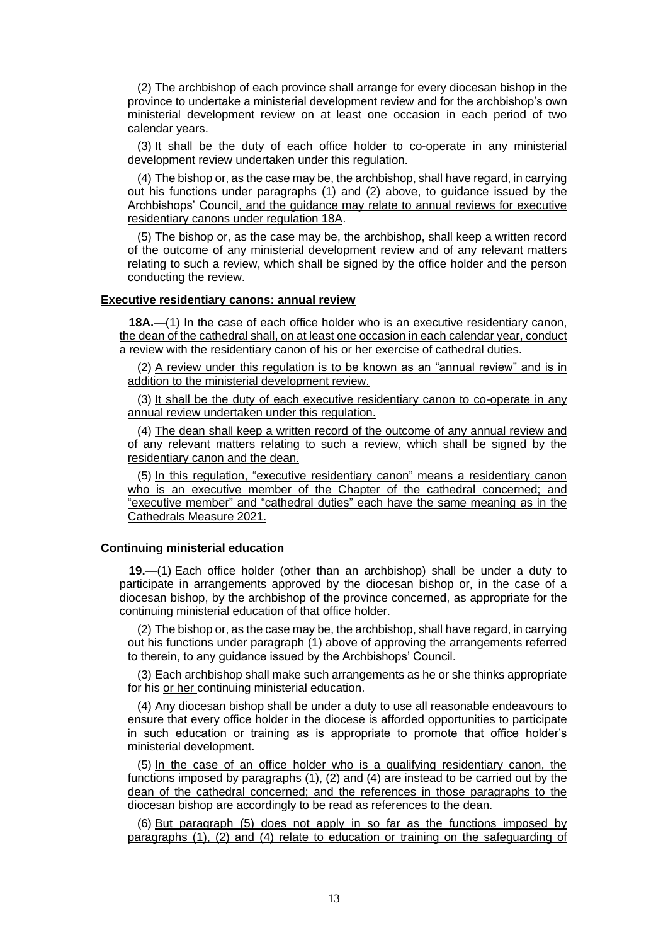(2) The archbishop of each province shall arrange for every diocesan bishop in the province to undertake a ministerial development review and for the archbishop's own ministerial development review on at least one occasion in each period of two calendar years.

(3) It shall be the duty of each office holder to co-operate in any ministerial development review undertaken under this regulation.

(4) The bishop or, as the case may be, the archbishop, shall have regard, in carrying out his functions under paragraphs (1) and (2) above, to guidance issued by the Archbishops' Council, and the guidance may relate to annual reviews for executive residentiary canons under regulation 18A.

(5) The bishop or, as the case may be, the archbishop, shall keep a written record of the outcome of any ministerial development review and of any relevant matters relating to such a review, which shall be signed by the office holder and the person conducting the review.

#### <span id="page-12-0"></span>**Executive residentiary canons: annual review**

**18A.**—(1) In the case of each office holder who is an executive residentiary canon, the dean of the cathedral shall, on at least one occasion in each calendar year, conduct a review with the residentiary canon of his or her exercise of cathedral duties.

(2) A review under this regulation is to be known as an "annual review" and is in addition to the ministerial development review.

(3) It shall be the duty of each executive residentiary canon to co-operate in any annual review undertaken under this regulation.

(4) The dean shall keep a written record of the outcome of any annual review and of any relevant matters relating to such a review, which shall be signed by the residentiary canon and the dean.

(5) In this regulation, "executive residentiary canon" means a residentiary canon who is an executive member of the Chapter of the cathedral concerned; and "executive member" and "cathedral duties" each have the same meaning as in the Cathedrals Measure 2021.

## <span id="page-12-1"></span>**Continuing ministerial education**

**19.**—(1) Each office holder (other than an archbishop) shall be under a duty to participate in arrangements approved by the diocesan bishop or, in the case of a diocesan bishop, by the archbishop of the province concerned, as appropriate for the continuing ministerial education of that office holder.

(2) The bishop or, as the case may be, the archbishop, shall have regard, in carrying out his functions under paragraph (1) above of approving the arrangements referred to therein, to any guidance issued by the Archbishops' Council.

(3) Each archbishop shall make such arrangements as he or she thinks appropriate for his or her continuing ministerial education.

(4) Any diocesan bishop shall be under a duty to use all reasonable endeavours to ensure that every office holder in the diocese is afforded opportunities to participate in such education or training as is appropriate to promote that office holder's ministerial development.

(5) In the case of an office holder who is a qualifying residentiary canon, the functions imposed by paragraphs (1), (2) and (4) are instead to be carried out by the dean of the cathedral concerned; and the references in those paragraphs to the diocesan bishop are accordingly to be read as references to the dean.

(6) But paragraph (5) does not apply in so far as the functions imposed by paragraphs (1), (2) and (4) relate to education or training on the safeguarding of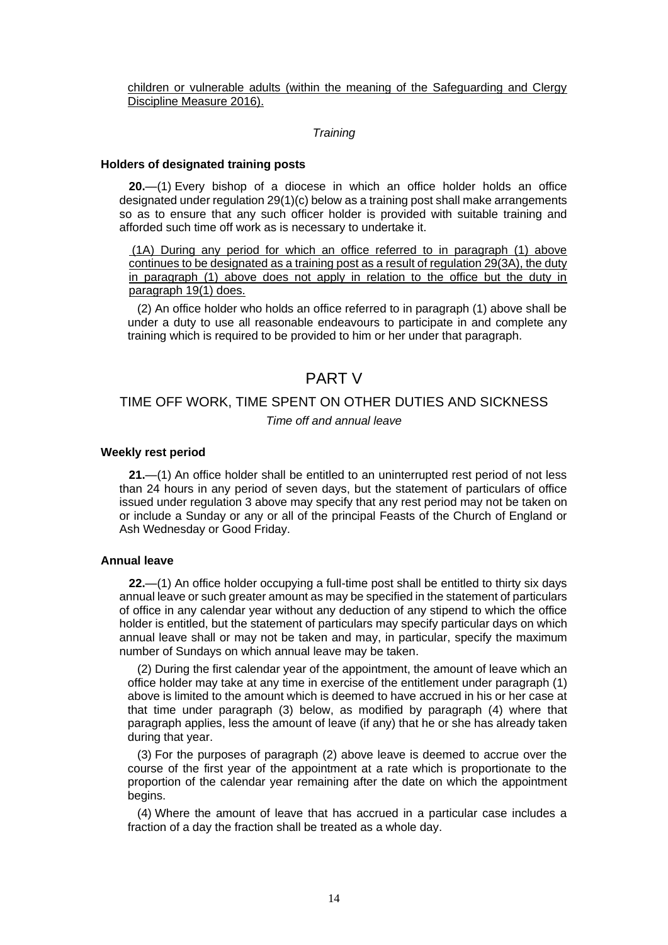children or vulnerable adults (within the meaning of the Safeguarding and Clergy Discipline Measure 2016).

#### *Training*

#### <span id="page-13-0"></span>**Holders of designated training posts**

**20.**—(1) Every bishop of a diocese in which an office holder holds an office designated under regulation 29(1)(c) below as a training post shall make arrangements so as to ensure that any such officer holder is provided with suitable training and afforded such time off work as is necessary to undertake it.

(1A) During any period for which an office referred to in paragraph (1) above continues to be designated as a training post as a result of regulation 29(3A), the duty in paragraph (1) above does not apply in relation to the office but the duty in paragraph 19(1) does.

(2) An office holder who holds an office referred to in paragraph (1) above shall be under a duty to use all reasonable endeavours to participate in and complete any training which is required to be provided to him or her under that paragraph.

## PART V

## TIME OFF WORK, TIME SPENT ON OTHER DUTIES AND SICKNESS *Time off and annual leave*

#### <span id="page-13-1"></span>**Weekly rest period**

**21.**—(1) An office holder shall be entitled to an uninterrupted rest period of not less than 24 hours in any period of seven days, but the statement of particulars of office issued under regulation 3 above may specify that any rest period may not be taken on or include a Sunday or any or all of the principal Feasts of the Church of England or Ash Wednesday or Good Friday.

#### <span id="page-13-2"></span>**Annual leave**

**22.**—(1) An office holder occupying a full-time post shall be entitled to thirty six days annual leave or such greater amount as may be specified in the statement of particulars of office in any calendar year without any deduction of any stipend to which the office holder is entitled, but the statement of particulars may specify particular days on which annual leave shall or may not be taken and may, in particular, specify the maximum number of Sundays on which annual leave may be taken.

(2) During the first calendar year of the appointment, the amount of leave which an office holder may take at any time in exercise of the entitlement under paragraph (1) above is limited to the amount which is deemed to have accrued in his or her case at that time under paragraph (3) below, as modified by paragraph (4) where that paragraph applies, less the amount of leave (if any) that he or she has already taken during that year.

(3) For the purposes of paragraph (2) above leave is deemed to accrue over the course of the first year of the appointment at a rate which is proportionate to the proportion of the calendar year remaining after the date on which the appointment begins.

(4) Where the amount of leave that has accrued in a particular case includes a fraction of a day the fraction shall be treated as a whole day.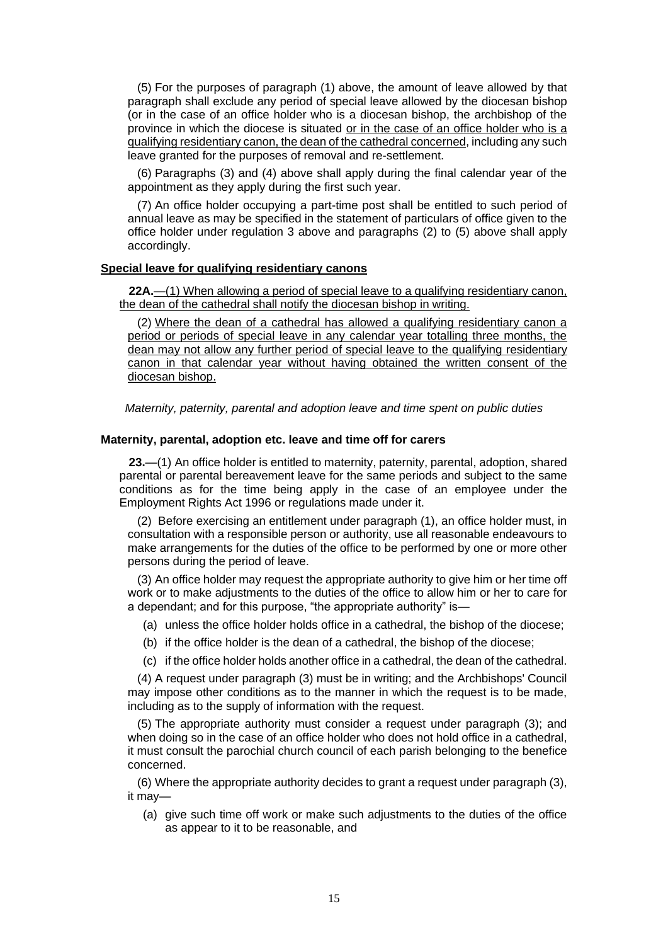(5) For the purposes of paragraph (1) above, the amount of leave allowed by that paragraph shall exclude any period of special leave allowed by the diocesan bishop (or in the case of an office holder who is a diocesan bishop, the archbishop of the province in which the diocese is situated or in the case of an office holder who is a qualifying residentiary canon, the dean of the cathedral concerned, including any such leave granted for the purposes of removal and re-settlement.

(6) Paragraphs (3) and (4) above shall apply during the final calendar year of the appointment as they apply during the first such year.

(7) An office holder occupying a part-time post shall be entitled to such period of annual leave as may be specified in the statement of particulars of office given to the office holder under regulation 3 above and paragraphs (2) to (5) above shall apply accordingly.

## <span id="page-14-0"></span>**Special leave for qualifying residentiary canons**

**22A.**—(1) When allowing a period of special leave to a qualifying residentiary canon, the dean of the cathedral shall notify the diocesan bishop in writing.

(2) Where the dean of a cathedral has allowed a qualifying residentiary canon a period or periods of special leave in any calendar year totalling three months, the dean may not allow any further period of special leave to the qualifying residentiary canon in that calendar year without having obtained the written consent of the diocesan bishop.

*Maternity, paternity, parental and adoption leave and time spent on public duties*

### <span id="page-14-1"></span>**Maternity, parental, adoption etc. leave and time off for carers**

**23.**—(1) An office holder is entitled to maternity, paternity, parental, adoption, shared parental or parental bereavement leave for the same periods and subject to the same conditions as for the time being apply in the case of an employee under the Employment Rights Act 1996 or regulations made under it.

(2) Before exercising an entitlement under paragraph (1), an office holder must, in consultation with a responsible person or authority, use all reasonable endeavours to make arrangements for the duties of the office to be performed by one or more other persons during the period of leave.

(3) An office holder may request the appropriate authority to give him or her time off work or to make adjustments to the duties of the office to allow him or her to care for a dependant; and for this purpose, "the appropriate authority" is—

- (a) unless the office holder holds office in a cathedral, the bishop of the diocese;
- (b) if the office holder is the dean of a cathedral, the bishop of the diocese;

(c) if the office holder holds another office in a cathedral, the dean of the cathedral.

(4) A request under paragraph (3) must be in writing; and the Archbishops' Council may impose other conditions as to the manner in which the request is to be made, including as to the supply of information with the request.

(5) The appropriate authority must consider a request under paragraph (3); and when doing so in the case of an office holder who does not hold office in a cathedral, it must consult the parochial church council of each parish belonging to the benefice concerned.

(6) Where the appropriate authority decides to grant a request under paragraph (3), it may—

(a) give such time off work or make such adjustments to the duties of the office as appear to it to be reasonable, and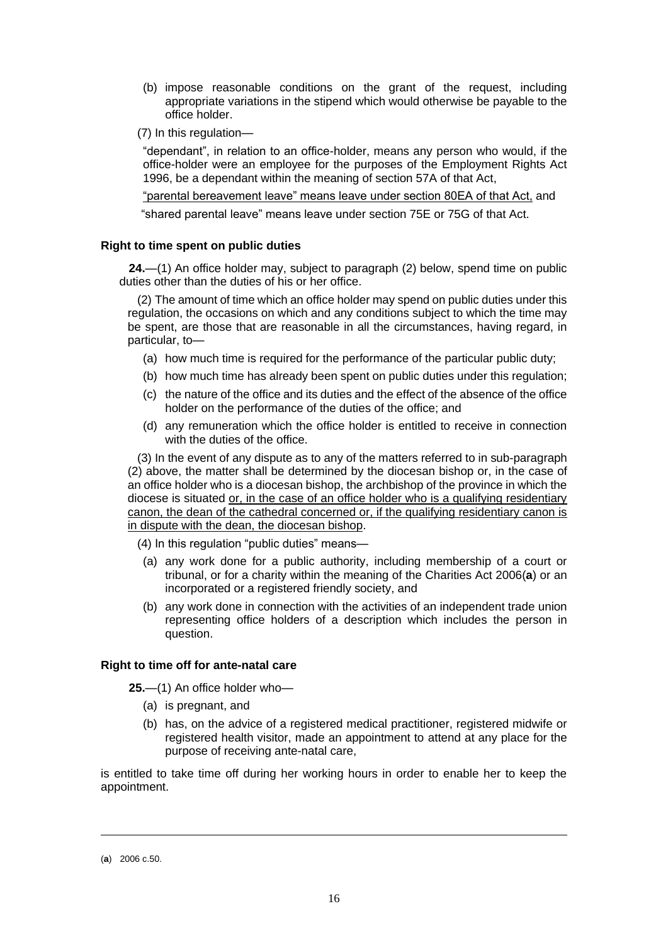- (b) impose reasonable conditions on the grant of the request, including appropriate variations in the stipend which would otherwise be payable to the office holder.
- (7) In this regulation—

"dependant", in relation to an office-holder, means any person who would, if the office-holder were an employee for the purposes of the Employment Rights Act 1996, be a dependant within the meaning of section 57A of that Act,

"parental bereavement leave" means leave under section 80EA of that Act, and

"shared parental leave" means leave under section 75E or 75G of that Act.

#### <span id="page-15-0"></span>**Right to time spent on public duties**

**24.**—(1) An office holder may, subject to paragraph (2) below, spend time on public duties other than the duties of his or her office.

(2) The amount of time which an office holder may spend on public duties under this regulation, the occasions on which and any conditions subject to which the time may be spent, are those that are reasonable in all the circumstances, having regard, in particular, to—

- (a) how much time is required for the performance of the particular public duty;
- (b) how much time has already been spent on public duties under this regulation;
- (c) the nature of the office and its duties and the effect of the absence of the office holder on the performance of the duties of the office; and
- (d) any remuneration which the office holder is entitled to receive in connection with the duties of the office.

(3) In the event of any dispute as to any of the matters referred to in sub-paragraph (2) above, the matter shall be determined by the diocesan bishop or, in the case of an office holder who is a diocesan bishop, the archbishop of the province in which the diocese is situated or, in the case of an office holder who is a qualifying residentiary canon, the dean of the cathedral concerned or, if the qualifying residentiary canon is in dispute with the dean, the diocesan bishop.

(4) In this regulation "public duties" means—

- (a) any work done for a public authority, including membership of a court or tribunal, or for a charity within the meaning of the Charities Act 2006(**a**) or an incorporated or a registered friendly society, and
- (b) any work done in connection with the activities of an independent trade union representing office holders of a description which includes the person in question.

## <span id="page-15-1"></span>**Right to time off for ante-natal care**

**25.**—(1) An office holder who—

- (a) is pregnant, and
- (b) has, on the advice of a registered medical practitioner, registered midwife or registered health visitor, made an appointment to attend at any place for the purpose of receiving ante-natal care,

is entitled to take time off during her working hours in order to enable her to keep the appointment.

<sup>(</sup>**a**) 2006 c.50.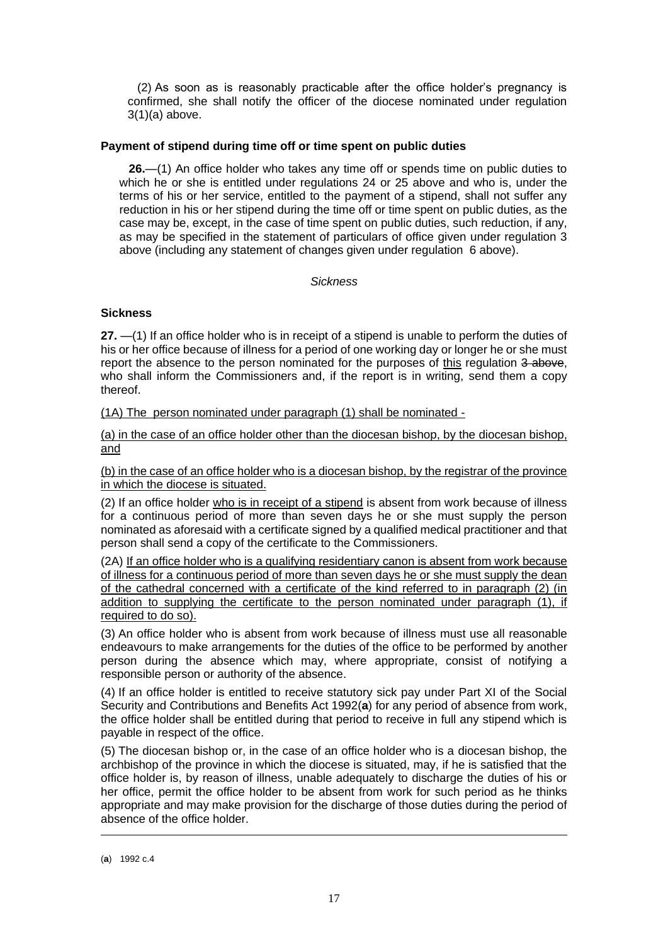(2) As soon as is reasonably practicable after the office holder's pregnancy is confirmed, she shall notify the officer of the diocese nominated under regulation 3(1)(a) above.

## <span id="page-16-0"></span>**Payment of stipend during time off or time spent on public duties**

**26.**—(1) An office holder who takes any time off or spends time on public duties to which he or she is entitled under regulations 24 or 25 above and who is, under the terms of his or her service, entitled to the payment of a stipend, shall not suffer any reduction in his or her stipend during the time off or time spent on public duties, as the case may be, except, in the case of time spent on public duties, such reduction, if any, as may be specified in the statement of particulars of office given under regulation 3 above (including any statement of changes given under regulation 6 above).

## *Sickness*

## <span id="page-16-1"></span>**Sickness**

**27.** —(1) If an office holder who is in receipt of a stipend is unable to perform the duties of his or her office because of illness for a period of one working day or longer he or she must report the absence to the person nominated for the purposes of this regulation 3 above, who shall inform the Commissioners and, if the report is in writing, send them a copy thereof.

(1A) The person nominated under paragraph (1) shall be nominated -

(a) in the case of an office holder other than the diocesan bishop, by the diocesan bishop, and

(b) in the case of an office holder who is a diocesan bishop, by the registrar of the province in which the diocese is situated.

(2) If an office holder who is in receipt of a stipend is absent from work because of illness for a continuous period of more than seven days he or she must supply the person nominated as aforesaid with a certificate signed by a qualified medical practitioner and that person shall send a copy of the certificate to the Commissioners.

(2A) If an office holder who is a qualifying residentiary canon is absent from work because of illness for a continuous period of more than seven days he or she must supply the dean of the cathedral concerned with a certificate of the kind referred to in paragraph (2) (in addition to supplying the certificate to the person nominated under paragraph (1), if required to do so).

(3) An office holder who is absent from work because of illness must use all reasonable endeavours to make arrangements for the duties of the office to be performed by another person during the absence which may, where appropriate, consist of notifying a responsible person or authority of the absence.

(4) If an office holder is entitled to receive statutory sick pay under Part XI of the Social Security and Contributions and Benefits Act 1992(**a**) for any period of absence from work, the office holder shall be entitled during that period to receive in full any stipend which is payable in respect of the office.

(5) The diocesan bishop or, in the case of an office holder who is a diocesan bishop, the archbishop of the province in which the diocese is situated, may, if he is satisfied that the office holder is, by reason of illness, unable adequately to discharge the duties of his or her office, permit the office holder to be absent from work for such period as he thinks appropriate and may make provision for the discharge of those duties during the period of absence of the office holder.

<sup>(</sup>**a**) 1992 c.4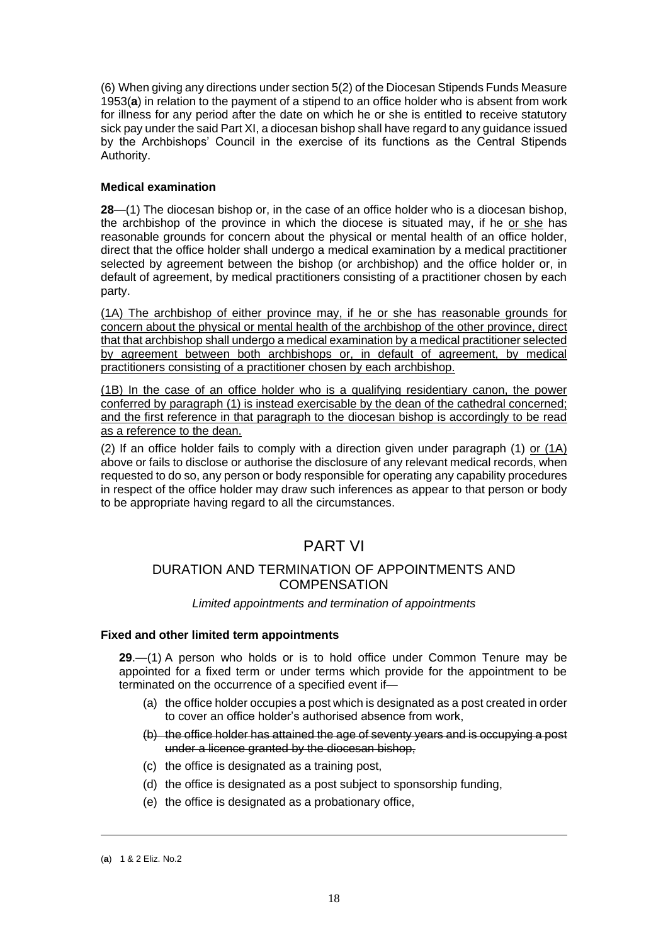(6) When giving any directions under section 5(2) of the Diocesan Stipends Funds Measure 1953(**a**) in relation to the payment of a stipend to an office holder who is absent from work for illness for any period after the date on which he or she is entitled to receive statutory sick pay under the said Part XI, a diocesan bishop shall have regard to any guidance issued by the Archbishops' Council in the exercise of its functions as the Central Stipends Authority.

## <span id="page-17-0"></span>**Medical examination**

**28**—(1) The diocesan bishop or, in the case of an office holder who is a diocesan bishop, the archbishop of the province in which the diocese is situated may, if he or she has reasonable grounds for concern about the physical or mental health of an office holder, direct that the office holder shall undergo a medical examination by a medical practitioner selected by agreement between the bishop (or archbishop) and the office holder or, in default of agreement, by medical practitioners consisting of a practitioner chosen by each party.

(1A) The archbishop of either province may, if he or she has reasonable grounds for concern about the physical or mental health of the archbishop of the other province, direct that that archbishop shall undergo a medical examination by a medical practitioner selected by agreement between both archbishops or, in default of agreement, by medical practitioners consisting of a practitioner chosen by each archbishop.

(1B) In the case of an office holder who is a qualifying residentiary canon, the power conferred by paragraph (1) is instead exercisable by the dean of the cathedral concerned; and the first reference in that paragraph to the diocesan bishop is accordingly to be read as a reference to the dean.

(2) If an office holder fails to comply with a direction given under paragraph (1) or (1A) above or fails to disclose or authorise the disclosure of any relevant medical records, when requested to do so, any person or body responsible for operating any capability procedures in respect of the office holder may draw such inferences as appear to that person or body to be appropriate having regard to all the circumstances.

# PART VI

## DURATION AND TERMINATION OF APPOINTMENTS AND **COMPENSATION**

## *Limited appointments and termination of appointments*

## <span id="page-17-1"></span>**Fixed and other limited term appointments**

**29**.—(1) A person who holds or is to hold office under Common Tenure may be appointed for a fixed term or under terms which provide for the appointment to be terminated on the occurrence of a specified event if—

- (a) the office holder occupies a post which is designated as a post created in order to cover an office holder's authorised absence from work,
- (b) the office holder has attained the age of seventy years and is occupying a post under a licence granted by the diocesan bishop,
- (c) the office is designated as a training post,
- (d) the office is designated as a post subject to sponsorship funding,
- (e) the office is designated as a probationary office,

<sup>(</sup>**a**) 1 & 2 Eliz. No.2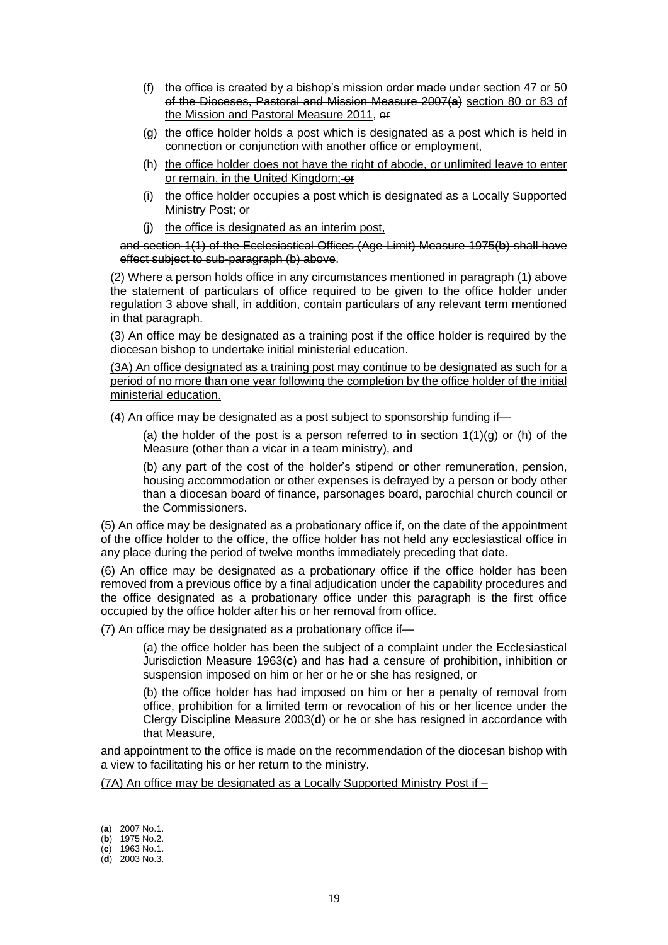- (f) the office is created by a bishop's mission order made under section  $47$  or  $50$ of the Dioceses, Pastoral and Mission Measure 2007(**a**) section 80 or 83 of the Mission and Pastoral Measure 2011, or
- (g) the office holder holds a post which is designated as a post which is held in connection or conjunction with another office or employment,
- (h) the office holder does not have the right of abode, or unlimited leave to enter or remain, in the United Kingdom; or
- (i) the office holder occupies a post which is designated as a Locally Supported Ministry Post; or
- (j) the office is designated as an interim post,

and section 1(1) of the Ecclesiastical Offices (Age Limit) Measure 1975(**b**) shall have effect subject to sub-paragraph (b) above.

(2) Where a person holds office in any circumstances mentioned in paragraph (1) above the statement of particulars of office required to be given to the office holder under regulation 3 above shall, in addition, contain particulars of any relevant term mentioned in that paragraph.

(3) An office may be designated as a training post if the office holder is required by the diocesan bishop to undertake initial ministerial education.

(3A) An office designated as a training post may continue to be designated as such for a period of no more than one year following the completion by the office holder of the initial ministerial education.

(4) An office may be designated as a post subject to sponsorship funding if—

(a) the holder of the post is a person referred to in section  $1(1)(g)$  or (h) of the Measure (other than a vicar in a team ministry), and

(b) any part of the cost of the holder's stipend or other remuneration, pension, housing accommodation or other expenses is defrayed by a person or body other than a diocesan board of finance, parsonages board, parochial church council or the Commissioners.

(5) An office may be designated as a probationary office if, on the date of the appointment of the office holder to the office, the office holder has not held any ecclesiastical office in any place during the period of twelve months immediately preceding that date.

(6) An office may be designated as a probationary office if the office holder has been removed from a previous office by a final adjudication under the capability procedures and the office designated as a probationary office under this paragraph is the first office occupied by the office holder after his or her removal from office.

(7) An office may be designated as a probationary office if—

(a) the office holder has been the subject of a complaint under the Ecclesiastical Jurisdiction Measure 1963(**c**) and has had a censure of prohibition, inhibition or suspension imposed on him or her or he or she has resigned, or

(b) the office holder has had imposed on him or her a penalty of removal from office, prohibition for a limited term or revocation of his or her licence under the Clergy Discipline Measure 2003(**d**) or he or she has resigned in accordance with that Measure,

and appointment to the office is made on the recommendation of the diocesan bishop with a view to facilitating his or her return to the ministry.

(7A) An office may be designated as a Locally Supported Ministry Post if –

<sup>(</sup>**a**) 2007 No.1.

<sup>(</sup>**b**) 1975 No.2.

<sup>(</sup>**c**) 1963 No.1.

<sup>(</sup>**d**) 2003 No.3.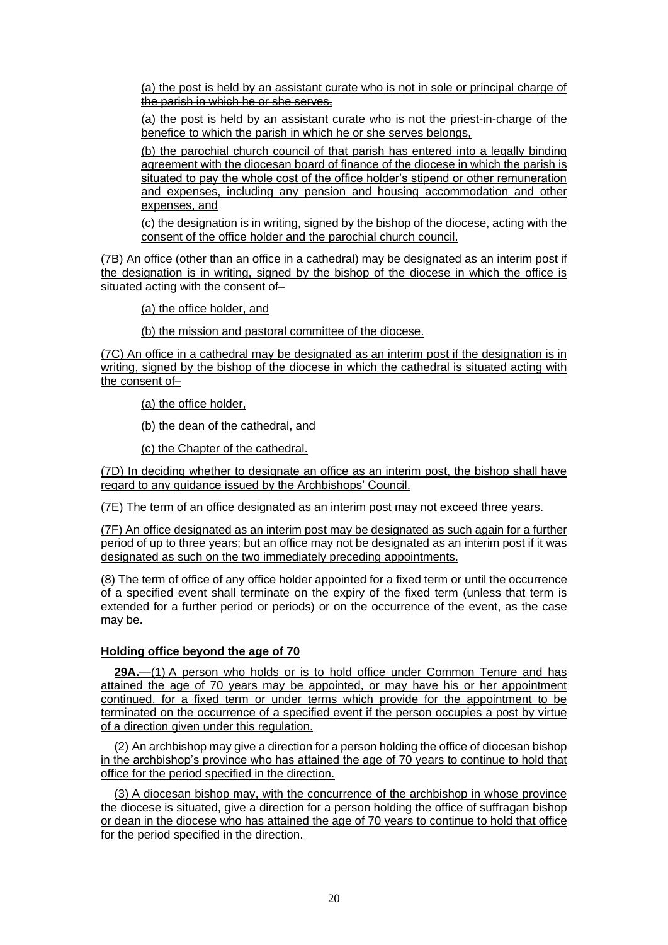(a) the post is held by an assistant curate who is not in sole or principal charge of the parish in which he or she serves,

(a) the post is held by an assistant curate who is not the priest-in-charge of the benefice to which the parish in which he or she serves belongs,

(b) the parochial church council of that parish has entered into a legally binding agreement with the diocesan board of finance of the diocese in which the parish is situated to pay the whole cost of the office holder's stipend or other remuneration and expenses, including any pension and housing accommodation and other expenses, and

(c) the designation is in writing, signed by the bishop of the diocese, acting with the consent of the office holder and the parochial church council.

(7B) An office (other than an office in a cathedral) may be designated as an interim post if the designation is in writing, signed by the bishop of the diocese in which the office is situated acting with the consent of-

(a) the office holder, and

(b) the mission and pastoral committee of the diocese.

(7C) An office in a cathedral may be designated as an interim post if the designation is in writing, signed by the bishop of the diocese in which the cathedral is situated acting with the consent of–

(a) the office holder,

(b) the dean of the cathedral, and

(c) the Chapter of the cathedral.

(7D) In deciding whether to designate an office as an interim post, the bishop shall have regard to any guidance issued by the Archbishops' Council.

(7E) The term of an office designated as an interim post may not exceed three years.

(7F) An office designated as an interim post may be designated as such again for a further period of up to three years; but an office may not be designated as an interim post if it was designated as such on the two immediately preceding appointments.

(8) The term of office of any office holder appointed for a fixed term or until the occurrence of a specified event shall terminate on the expiry of the fixed term (unless that term is extended for a further period or periods) or on the occurrence of the event, as the case may be.

#### **Holding office beyond the age of 70**

<span id="page-19-0"></span>**29A.**—(1) A person who holds or is to hold office under Common Tenure and has attained the age of 70 years may be appointed, or may have his or her appointment continued, for a fixed term or under terms which provide for the appointment to be terminated on the occurrence of a specified event if the person occupies a post by virtue of a direction given under this regulation.

(2) An archbishop may give a direction for a person holding the office of diocesan bishop in the archbishop's province who has attained the age of 70 years to continue to hold that office for the period specified in the direction.

(3) A diocesan bishop may, with the concurrence of the archbishop in whose province the diocese is situated, give a direction for a person holding the office of suffragan bishop or dean in the diocese who has attained the age of 70 years to continue to hold that office for the period specified in the direction.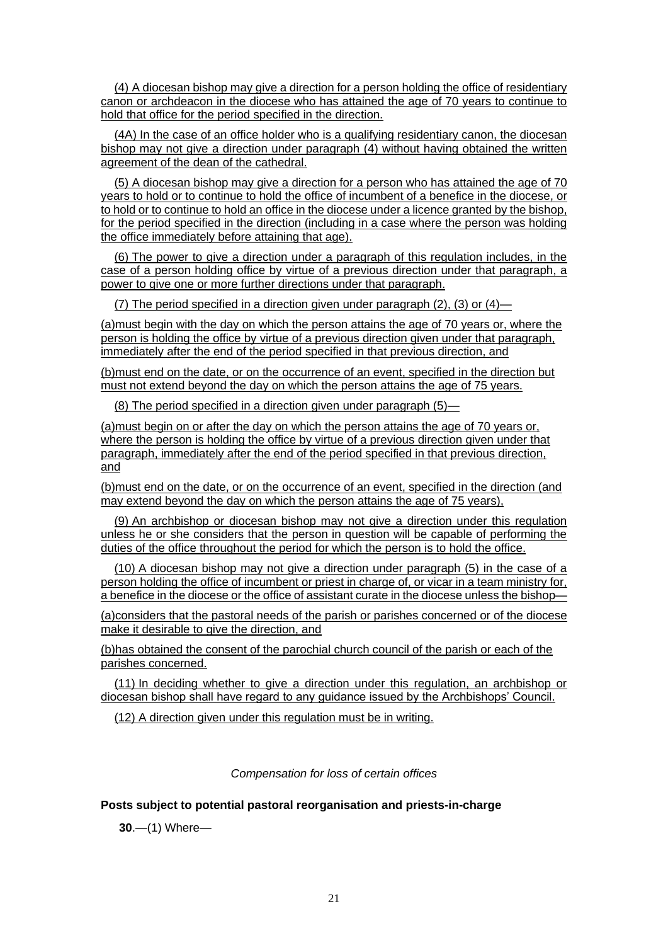(4) A diocesan bishop may give a direction for a person holding the office of residentiary canon or archdeacon in the diocese who has attained the age of 70 years to continue to hold that office for the period specified in the direction.

(4A) In the case of an office holder who is a qualifying residentiary canon, the diocesan bishop may not give a direction under paragraph (4) without having obtained the written agreement of the dean of the cathedral.

(5) A diocesan bishop may give a direction for a person who has attained the age of 70 years to hold or to continue to hold the office of incumbent of a benefice in the diocese, or to hold or to continue to hold an office in the diocese under a licence granted by the bishop, for the period specified in the direction (including in a case where the person was holding the office immediately before attaining that age).

(6) The power to give a direction under a paragraph of this regulation includes, in the case of a person holding office by virtue of a previous direction under that paragraph, a power to give one or more further directions under that paragraph.

(7) The period specified in a direction given under paragraph (2), (3) or (4)—

(a)must begin with the day on which the person attains the age of 70 years or, where the person is holding the office by virtue of a previous direction given under that paragraph, immediately after the end of the period specified in that previous direction, and

(b)must end on the date, or on the occurrence of an event, specified in the direction but must not extend beyond the day on which the person attains the age of 75 years.

(8) The period specified in a direction given under paragraph (5)—

(a)must begin on or after the day on which the person attains the age of 70 years or, where the person is holding the office by virtue of a previous direction given under that paragraph, immediately after the end of the period specified in that previous direction, and

(b)must end on the date, or on the occurrence of an event, specified in the direction (and may extend beyond the day on which the person attains the age of 75 years),

(9) An archbishop or diocesan bishop may not give a direction under this regulation unless he or she considers that the person in question will be capable of performing the duties of the office throughout the period for which the person is to hold the office.

(10) A diocesan bishop may not give a direction under paragraph (5) in the case of a person holding the office of incumbent or priest in charge of, or vicar in a team ministry for, a benefice in the diocese or the office of assistant curate in the diocese unless the bishop—

(a)considers that the pastoral needs of the parish or parishes concerned or of the diocese make it desirable to give the direction, and

(b)has obtained the consent of the parochial church council of the parish or each of the parishes concerned.

(11) In deciding whether to give a direction under this regulation, an archbishop or diocesan bishop shall have regard to any guidance issued by the Archbishops' Council.

(12) A direction given under this regulation must be in writing.

*Compensation for loss of certain offices*

## <span id="page-20-0"></span>**Posts subject to potential pastoral reorganisation and priests-in-charge**

**30**.—(1) Where—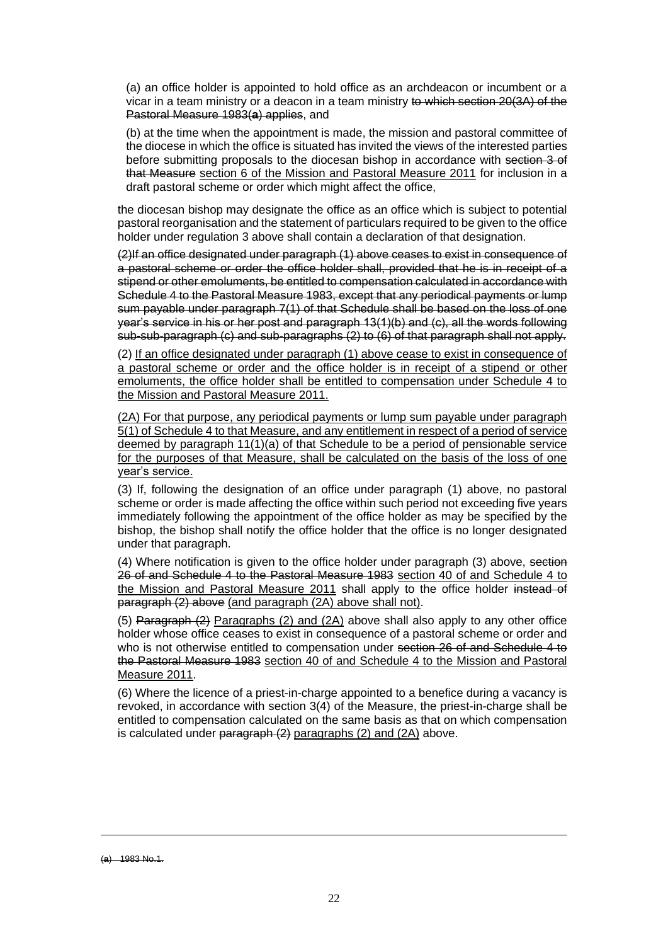(a) an office holder is appointed to hold office as an archdeacon or incumbent or a vicar in a team ministry or a deacon in a team ministry to which section 20(3A) of the Pastoral Measure 1983(**a**) applies, and

(b) at the time when the appointment is made, the mission and pastoral committee of the diocese in which the office is situated has invited the views of the interested parties before submitting proposals to the diocesan bishop in accordance with section 3 of that Measure section 6 of the Mission and Pastoral Measure 2011 for inclusion in a draft pastoral scheme or order which might affect the office,

the diocesan bishop may designate the office as an office which is subject to potential pastoral reorganisation and the statement of particulars required to be given to the office holder under regulation 3 above shall contain a declaration of that designation.

(2)If an office designated under paragraph (1) above ceases to exist in consequence of a pastoral scheme or order the office holder shall, provided that he is in receipt of a stipend or other emoluments, be entitled to compensation calculated in accordance with Schedule 4 to the Pastoral Measure 1983, except that any periodical payments or lump sum payable under paragraph 7(1) of that Schedule shall be based on the loss of one year's service in his or her post and paragraph 13(1)(b) and (c), all the words following sub**-**sub-paragraph (c) and sub-paragraphs (2) to (6) of that paragraph shall not apply.

(2) If an office designated under paragraph (1) above cease to exist in consequence of a pastoral scheme or order and the office holder is in receipt of a stipend or other emoluments, the office holder shall be entitled to compensation under Schedule 4 to the Mission and Pastoral Measure 2011.

(2A) For that purpose, any periodical payments or lump sum payable under paragraph 5(1) of Schedule 4 to that Measure, and any entitlement in respect of a period of service deemed by paragraph 11(1)(a) of that Schedule to be a period of pensionable service for the purposes of that Measure, shall be calculated on the basis of the loss of one year's service.

(3) If, following the designation of an office under paragraph (1) above, no pastoral scheme or order is made affecting the office within such period not exceeding five years immediately following the appointment of the office holder as may be specified by the bishop, the bishop shall notify the office holder that the office is no longer designated under that paragraph.

(4) Where notification is given to the office holder under paragraph (3) above, section 26 of and Schedule 4 to the Pastoral Measure 1983 section 40 of and Schedule 4 to the Mission and Pastoral Measure 2011 shall apply to the office holder instead of paragraph (2) above (and paragraph (2A) above shall not).

(5) Paragraph (2) Paragraphs (2) and (2A) above shall also apply to any other office holder whose office ceases to exist in consequence of a pastoral scheme or order and who is not otherwise entitled to compensation under section 26 of and Schedule 4 to the Pastoral Measure 1983 section 40 of and Schedule 4 to the Mission and Pastoral Measure 2011.

(6) Where the licence of a priest-in-charge appointed to a benefice during a vacancy is revoked, in accordance with section 3(4) of the Measure, the priest-in-charge shall be entitled to compensation calculated on the same basis as that on which compensation is calculated under paragraph (2) paragraphs (2) and (2A) above.

<sup>(</sup>**a**) 1983 No.1.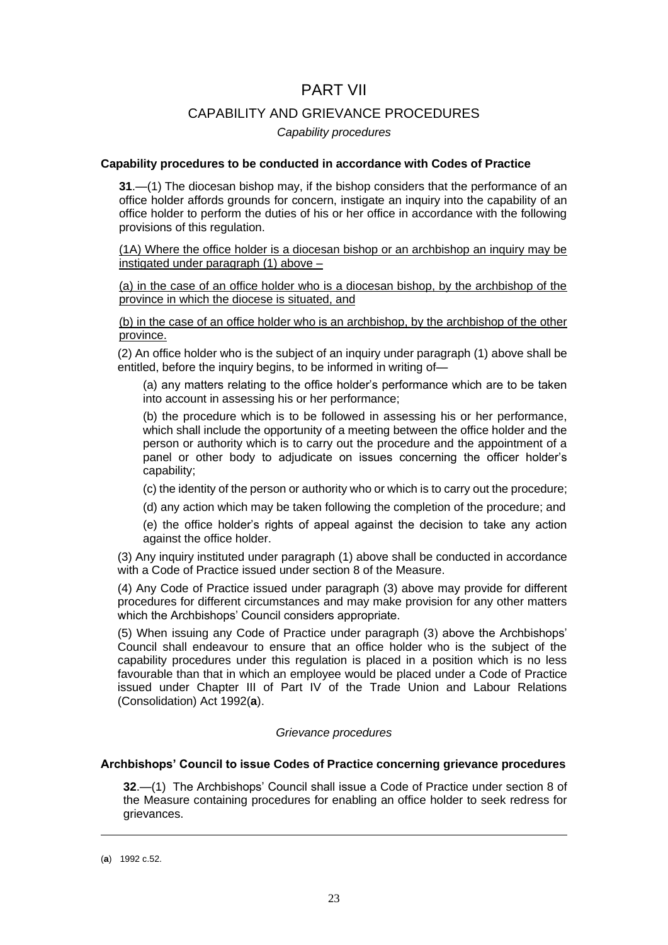## PART VII

## CAPABILITY AND GRIEVANCE PROCEDURES

### *Capability procedures*

#### <span id="page-22-0"></span>**Capability procedures to be conducted in accordance with Codes of Practice**

**31**.—(1) The diocesan bishop may, if the bishop considers that the performance of an office holder affords grounds for concern, instigate an inquiry into the capability of an office holder to perform the duties of his or her office in accordance with the following provisions of this regulation.

(1A) Where the office holder is a diocesan bishop or an archbishop an inquiry may be instigated under paragraph (1) above –

(a) in the case of an office holder who is a diocesan bishop, by the archbishop of the province in which the diocese is situated, and

(b) in the case of an office holder who is an archbishop, by the archbishop of the other province.

(2) An office holder who is the subject of an inquiry under paragraph (1) above shall be entitled, before the inquiry begins, to be informed in writing of—

(a) any matters relating to the office holder's performance which are to be taken into account in assessing his or her performance;

(b) the procedure which is to be followed in assessing his or her performance, which shall include the opportunity of a meeting between the office holder and the person or authority which is to carry out the procedure and the appointment of a panel or other body to adjudicate on issues concerning the officer holder's capability;

(c) the identity of the person or authority who or which is to carry out the procedure;

(d) any action which may be taken following the completion of the procedure; and

(e) the office holder's rights of appeal against the decision to take any action against the office holder.

(3) Any inquiry instituted under paragraph (1) above shall be conducted in accordance with a Code of Practice issued under section 8 of the Measure.

(4) Any Code of Practice issued under paragraph (3) above may provide for different procedures for different circumstances and may make provision for any other matters which the Archbishops' Council considers appropriate.

(5) When issuing any Code of Practice under paragraph (3) above the Archbishops' Council shall endeavour to ensure that an office holder who is the subject of the capability procedures under this regulation is placed in a position which is no less favourable than that in which an employee would be placed under a Code of Practice issued under Chapter III of Part IV of the Trade Union and Labour Relations (Consolidation) Act 1992(**a**).

#### *Grievance procedures*

## <span id="page-22-1"></span>**Archbishops' Council to issue Codes of Practice concerning grievance procedures**

**32**.—(1) The Archbishops' Council shall issue a Code of Practice under section 8 of the Measure containing procedures for enabling an office holder to seek redress for grievances.

<sup>(</sup>**a**) 1992 c.52.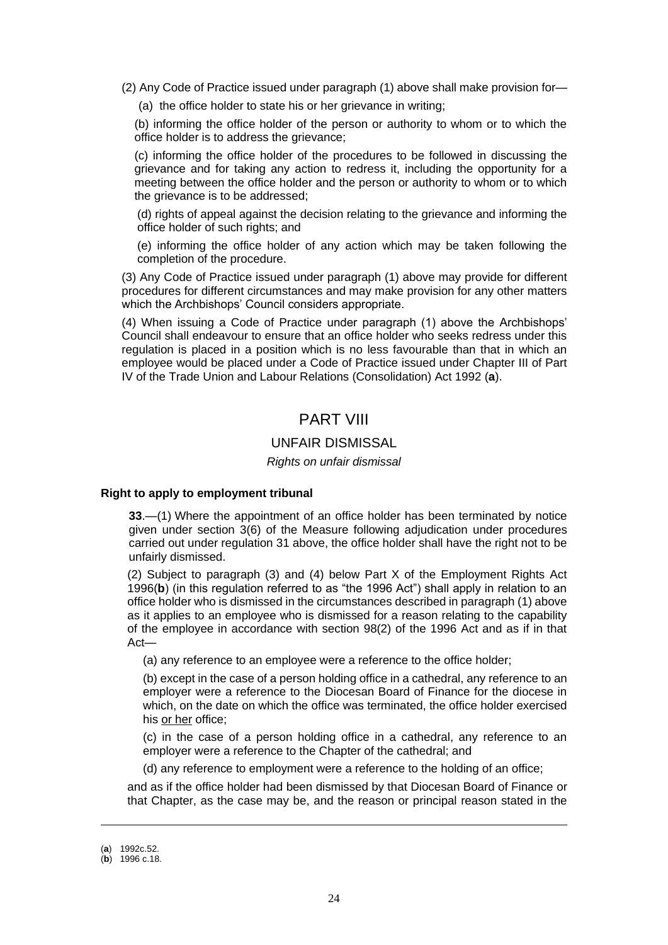(2) Any Code of Practice issued under paragraph (1) above shall make provision for—

(a) the office holder to state his or her grievance in writing;

(b) informing the office holder of the person or authority to whom or to which the office holder is to address the grievance;

(c) informing the office holder of the procedures to be followed in discussing the grievance and for taking any action to redress it, including the opportunity for a meeting between the office holder and the person or authority to whom or to which the grievance is to be addressed;

(d) rights of appeal against the decision relating to the grievance and informing the office holder of such rights; and

(e) informing the office holder of any action which may be taken following the completion of the procedure.

(3) Any Code of Practice issued under paragraph (1) above may provide for different procedures for different circumstances and may make provision for any other matters which the Archbishops' Council considers appropriate.

(4) When issuing a Code of Practice under paragraph (1) above the Archbishops' Council shall endeavour to ensure that an office holder who seeks redress under this regulation is placed in a position which is no less favourable than that in which an employee would be placed under a Code of Practice issued under Chapter III of Part IV of the Trade Union and Labour Relations (Consolidation) Act 1992 (**a**).

## PART VIII

## UNFAIR DISMISSAL

## *Rights on unfair dismissal*

#### **Right to apply to employment tribunal**

**33**.—(1) Where the appointment of an office holder has been terminated by notice given under section 3(6) of the Measure following adjudication under procedures carried out under regulation 31 above, the office holder shall have the right not to be unfairly dismissed.

(2) Subject to paragraph (3) and (4) below Part X of the Employment Rights Act 1996(**b**) (in this regulation referred to as "the 1996 Act") shall apply in relation to an office holder who is dismissed in the circumstances described in paragraph (1) above as it applies to an employee who is dismissed for a reason relating to the capability of the employee in accordance with section 98(2) of the 1996 Act and as if in that Act—

(a) any reference to an employee were a reference to the office holder;

(b) except in the case of a person holding office in a cathedral, any reference to an employer were a reference to the Diocesan Board of Finance for the diocese in which, on the date on which the office was terminated, the office holder exercised his or her office;

(c) in the case of a person holding office in a cathedral, any reference to an employer were a reference to the Chapter of the cathedral; and

(d) any reference to employment were a reference to the holding of an office;

and as if the office holder had been dismissed by that Diocesan Board of Finance or that Chapter, as the case may be, and the reason or principal reason stated in the

<sup>(</sup>**a**) 1992c.52.

<sup>(</sup>**b**) 1996 c.18.